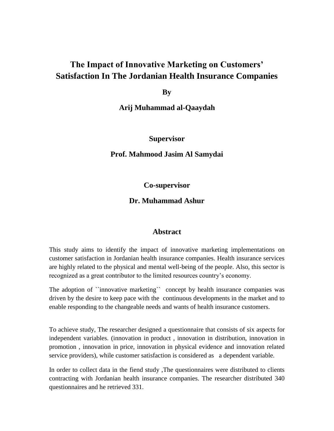# **The Impact of Innovative Marketing on Customers' Satisfaction In The Jordanian Health Insurance Companies**

**By** 

**Arij Muhammad al-Qaaydah**

## **Supervisor**

#### **Prof. Mahmood Jasim Al Samydai**

**Co-supervisor**

## **Dr. Muhammad Ashur**

#### **Abstract**

This study aims to identify the impact of innovative marketing implementations on customer satisfaction in Jordanian health insurance companies. Health insurance services are highly related to the physical and mental well-being of the people. Also, this sector is recognized as a great contributor to the limited resources country's economy.

The adoption of ``innovative marketing`` concept by health insurance companies was driven by the desire to keep pace with the continuous developments in the market and to enable responding to the changeable needs and wants of health insurance customers.

To achieve study, The researcher designed a questionnaire that consists of six aspects for independent variables. (innovation in product , innovation in distribution, innovation in promotion , innovation in price, innovation in physical evidence and innovation related service providers), while customer satisfaction is considered as a dependent variable.

In order to collect data in the fiend study ,The questionnaires were distributed to clients contracting with Jordanian health insurance companies. The researcher distributed 340 questionnaires and he retrieved 331.